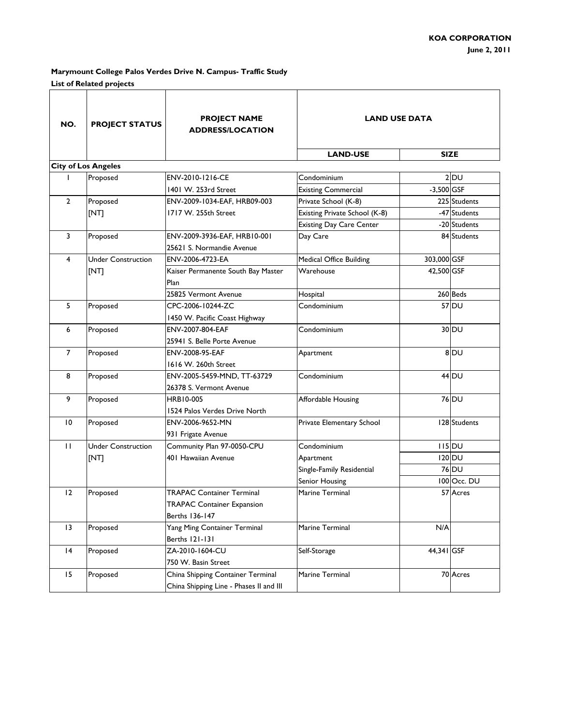| NO.             | <b>PROJECT STATUS</b>      | <b>PROJECT NAME</b><br><b>ADDRESS/LOCATION</b> | <b>LAND USE DATA</b>            |              |                     |
|-----------------|----------------------------|------------------------------------------------|---------------------------------|--------------|---------------------|
|                 |                            |                                                | <b>LAND-USE</b>                 |              | <b>SIZE</b>         |
|                 | <b>City of Los Angeles</b> |                                                |                                 |              |                     |
|                 | Proposed                   | ENV-2010-1216-CE                               | Condominium                     |              | $2$ <sub>DU</sub>   |
|                 |                            | 1401 W. 253rd Street                           | <b>Existing Commercial</b>      | $-3,500$ GSF |                     |
| $\overline{2}$  | Proposed                   | ENV-2009-1034-EAF, HRB09-003                   | Private School (K-8)            |              | 225 Students        |
|                 | [NT]                       | 1717 W. 255th Street                           | Existing Private School (K-8)   |              | -47 Students        |
|                 |                            |                                                | <b>Existing Day Care Center</b> |              | -20 Students        |
| 3               | Proposed                   | ENV-2009-3936-EAF, HRB10-001                   | Day Care                        |              | 84 Students         |
|                 |                            | 25621 S. Normandie Avenue                      |                                 |              |                     |
| 4               | <b>Under Construction</b>  | ENV-2006-4723-EA                               | Medical Office Building         | 303,000 GSF  |                     |
|                 | [NT]                       | Kaiser Permanente South Bay Master             | Warehouse                       | 42,500 GSF   |                     |
|                 |                            | Plan                                           |                                 |              |                     |
|                 |                            | 25825 Vermont Avenue                           | Hospital                        |              | 260 Beds            |
| 5               | Proposed                   | CPC-2006-10244-ZC                              | Condominium                     |              | 57 DU               |
|                 |                            | 1450 W. Pacific Coast Highway                  |                                 |              |                     |
| 6               | Proposed                   | ENV-2007-804-EAF                               | Condominium                     |              | 30 DU               |
|                 |                            | 25941 S. Belle Porte Avenue                    |                                 |              |                     |
| $\overline{7}$  | Proposed                   | ENV-2008-95-EAF                                | Apartment                       |              | 8 DU                |
|                 |                            | 1616 W. 260th Street                           |                                 |              |                     |
| 8               | Proposed                   | ENV-2005-5459-MND, TT-63729                    | Condominium                     |              | $44$ DU             |
|                 |                            | 26378 S. Vermont Avenue                        |                                 |              |                     |
| 9               | Proposed                   | <b>HRB10-005</b>                               | Affordable Housing              |              | 76 DU               |
|                 |                            | 1524 Palos Verdes Drive North                  |                                 |              |                     |
| $\overline{10}$ | Proposed                   | ENV-2006-9652-MN                               | Private Elementary School       |              | 128 Students        |
|                 |                            | 931 Frigate Avenue                             |                                 |              |                     |
| П               | <b>Under Construction</b>  | Community Plan 97-0050-CPU                     | Condominium                     |              | $115$ <sub>DU</sub> |
|                 | [NT]                       | 401 Hawaiian Avenue                            | Apartment                       |              | $120$ <sub>DU</sub> |
|                 |                            |                                                | Single-Family Residential       |              | 76 DU               |
|                 |                            |                                                | Senior Housing                  |              | 100 Occ. DU         |
| $\overline{2}$  | Proposed                   | <b>TRAPAC Container Terminal</b>               | Marine Terminal                 |              | 57 Acres            |
|                 |                            | <b>TRAPAC Container Expansion</b>              |                                 |              |                     |
|                 |                            | Berths 136-147                                 |                                 |              |                     |
| 13              | Proposed                   | Yang Ming Container Terminal                   | Marine Terminal                 | N/A          |                     |
|                 |                            | Berths 121-131                                 |                                 |              |                     |
| 4               | Proposed                   | ZA-2010-1604-CU                                | Self-Storage                    | 44,341 GSF   |                     |
|                 |                            | 750 W. Basin Street                            |                                 |              |                     |
| 15              | Proposed                   | China Shipping Container Terminal              | Marine Terminal                 |              | 70 Acres            |
|                 |                            | China Shipping Line - Phases II and III        |                                 |              |                     |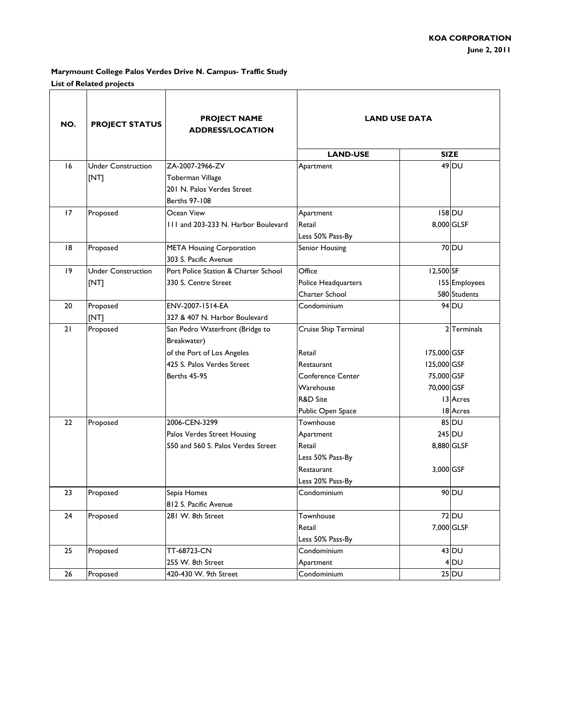| NO. | <b>PROJECT STATUS</b>     | <b>PROJECT NAME</b><br><b>ADDRESS/LOCATION</b> | <b>LAND USE DATA</b>     |             |                   |
|-----|---------------------------|------------------------------------------------|--------------------------|-------------|-------------------|
|     |                           |                                                | <b>LAND-USE</b>          |             | <b>SIZE</b>       |
| 16  | <b>Under Construction</b> | ZA-2007-2966-ZV                                | Apartment                |             | $49$ DU           |
|     | [NT]                      | Toberman Village                               |                          |             |                   |
|     |                           | 201 N. Palos Verdes Street                     |                          |             |                   |
|     |                           | Berths 97-108                                  |                          |             |                   |
| 17  | Proposed                  | Ocean View                                     | Apartment                |             | 158 DU            |
|     |                           | 111 and 203-233 N. Harbor Boulevard            | Retail                   |             | 8,000 GLSF        |
|     |                           |                                                | Less 50% Pass-By         |             |                   |
| 18  | Proposed                  | <b>META Housing Corporation</b>                | Senior Housing           |             | 70 DU             |
|     |                           | 303 S. Pacific Avenue                          |                          |             |                   |
| 19  | <b>Under Construction</b> | Port Police Station & Charter School           | Office                   | 12,500 SF   |                   |
|     | [NT]                      | 330 S. Centre Street                           | Police Headquarters      |             | 155 Employees     |
|     |                           |                                                | Charter School           |             | 580 Students      |
| 20  | Proposed                  | ENV-2007-1514-EA                               | Condominium              |             | 94 DU             |
|     | [NT]                      | 327 & 407 N. Harbor Boulevard                  |                          |             |                   |
| 21  | Proposed                  | San Pedro Waterfront (Bridge to                | Cruise Ship Terminal     |             | 2 Terminals       |
|     |                           | Breakwater)                                    |                          |             |                   |
|     |                           | of the Port of Los Angeles                     | Retail                   | 175,000 GSF |                   |
|     |                           | 425 S. Palos Verdes Street                     | Restaurant               | 125,000 GSF |                   |
|     |                           | Berths 45-95                                   | <b>Conference Center</b> | 75,000 GSF  |                   |
|     |                           |                                                | Warehouse                | 70,000 GSF  |                   |
|     |                           |                                                | <b>R&amp;D Site</b>      |             | 13 Acres          |
|     |                           |                                                | Public Open Space        |             | 18 Acres          |
| 22  | Proposed                  | 2006-CEN-3299                                  | Townhouse                |             | 85 DU             |
|     |                           | Palos Verdes Street Housing                    | Apartment                |             | $245$ DU          |
|     |                           | 550 and 560 S. Palos Verdes Street             | Retail                   |             | 8,880 GLSF        |
|     |                           |                                                | Less 50% Pass-By         |             |                   |
|     |                           |                                                | <b>Restaurant</b>        | 3,000 GSF   |                   |
|     |                           |                                                | Less 20% Pass-By         |             |                   |
| 23  | Proposed                  | Sepia Homes                                    | Condominium              |             | 90 DU             |
|     |                           | 812 S. Pacific Avenue                          |                          |             |                   |
| 24  | Proposed                  | 281 W. 8th Street                              | Townhouse                |             | 72 DU             |
|     |                           |                                                | Retail                   |             | 7,000 GLSF        |
|     |                           |                                                | Less 50% Pass-By         |             |                   |
| 25  | Proposed                  | TT-68723-CN                                    | Condominium              |             | $43$ DU           |
|     |                           | 255 W. 8th Street                              | Apartment                |             | $4$ <sub>DU</sub> |
| 26  | Proposed                  | 420-430 W. 9th Street                          | Condominium              |             | $25$ DU           |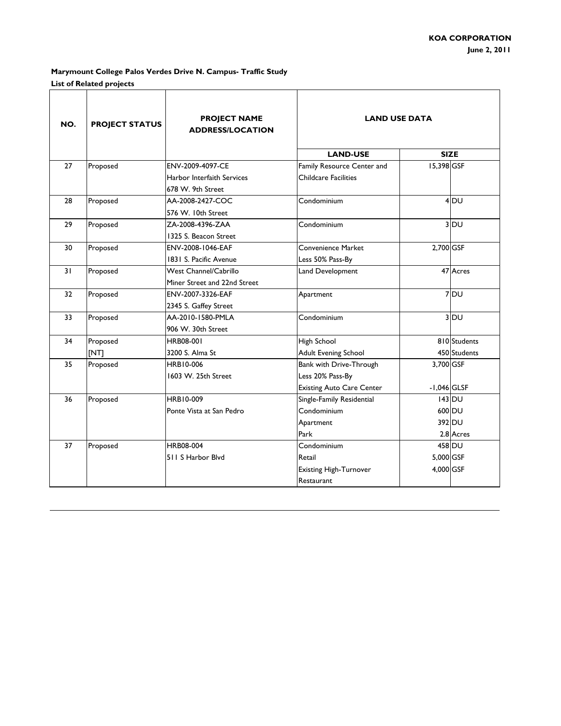| NO. | <b>PROJECT STATUS</b> | <b>PROJECT NAME</b><br><b>ADDRESS/LOCATION</b> | <b>LAND USE DATA</b>             |               |                 |
|-----|-----------------------|------------------------------------------------|----------------------------------|---------------|-----------------|
|     |                       |                                                | <b>LAND-USE</b>                  |               | <b>SIZE</b>     |
| 27  | Proposed              | ENV-2009-4097-CE                               | Family Resource Center and       | 15,398 GSF    |                 |
|     |                       | Harbor Interfaith Services                     | <b>Childcare Facilities</b>      |               |                 |
|     |                       | 678 W. 9th Street                              |                                  |               |                 |
| 28  | Proposed              | AA-2008-2427-COC                               | Condominium                      |               | 4 <sub>DU</sub> |
|     |                       | 576 W. 10th Street                             |                                  |               |                 |
| 29  | Proposed              | ZA-2008-4396-ZAA                               | Condominium                      |               | $3$ DU          |
|     |                       | 1325 S. Beacon Street                          |                                  |               |                 |
| 30  | Proposed              | ENV-2008-1046-EAF                              | <b>Convenience Market</b>        | 2,700 GSF     |                 |
|     |                       | 1831 S. Pacific Avenue                         | Less 50% Pass-By                 |               |                 |
| 31  | Proposed              | <b>West Channel/Cabrillo</b>                   | Land Development                 |               | 47 Acres        |
|     |                       | Miner Street and 22nd Street                   |                                  |               |                 |
| 32  | Proposed              | ENV-2007-3326-EAF                              | Apartment                        |               | 7 DU            |
|     |                       | 2345 S. Gaffey Street                          |                                  |               |                 |
| 33  | Proposed              | AA-2010-1580-PMLA                              | Condominium                      |               | $3$ DU          |
|     |                       | 906 W. 30th Street                             |                                  |               |                 |
| 34  | Proposed              | HRB08-001                                      | High School                      |               | 810 Students    |
|     | [NT]                  | 3200 S. Alma St                                | <b>Adult Evening School</b>      |               | 450 Students    |
| 35  | Proposed              | <b>HRB10-006</b>                               | Bank with Drive-Through          | 3,700 GSF     |                 |
|     |                       | 1603 W. 25th Street                            | Less 20% Pass-By                 |               |                 |
|     |                       |                                                | <b>Existing Auto Care Center</b> | $-1,046$ GLSF |                 |
| 36  | Proposed              | HRB10-009                                      | Single-Family Residential        |               | 143 DU          |
|     |                       | Ponte Vista at San Pedro                       | Condominium                      |               | 600 DU          |
|     |                       |                                                | Apartment                        |               | 392 DU          |
|     |                       |                                                | Park                             |               | 2.8 Acres       |
| 37  | Proposed              | HRB08-004                                      | Condominium                      |               | 458 DU          |
|     |                       | 511 S Harbor Blvd                              | Retail                           | 5,000 GSF     |                 |
|     |                       |                                                | <b>Existing High-Turnover</b>    | 4,000 GSF     |                 |
|     |                       |                                                | Restaurant                       |               |                 |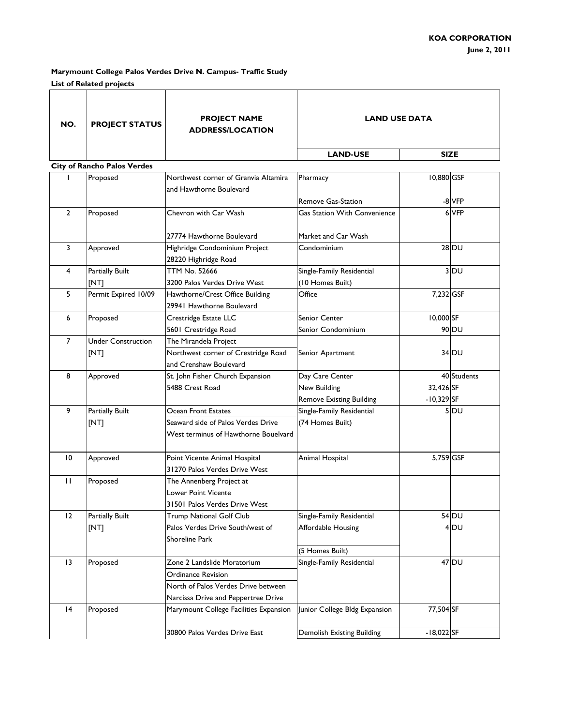| <b>SIZE</b><br><b>LAND-USE</b><br><b>City of Rancho Palos Verdes</b><br>10,880 GSF<br>Proposed<br>Northwest corner of Granvia Altamira<br>Pharmacy<br>and Hawthorne Boulevard<br>Remove Gas-Station<br>-8 VFP<br>6 VFP<br>$\overline{2}$<br>Proposed<br>Chevron with Car Wash<br><b>Gas Station With Convenience</b><br>27774 Hawthorne Boulevard<br>Market and Car Wash<br>3<br>$28$ DU<br>Highridge Condominium Project<br>Condominium<br>Approved<br>28220 Highridge Road<br><b>TTM No. 52666</b><br><b>Partially Built</b><br>Single-Family Residential<br>4 |                 |
|------------------------------------------------------------------------------------------------------------------------------------------------------------------------------------------------------------------------------------------------------------------------------------------------------------------------------------------------------------------------------------------------------------------------------------------------------------------------------------------------------------------------------------------------------------------|-----------------|
|                                                                                                                                                                                                                                                                                                                                                                                                                                                                                                                                                                  |                 |
|                                                                                                                                                                                                                                                                                                                                                                                                                                                                                                                                                                  |                 |
|                                                                                                                                                                                                                                                                                                                                                                                                                                                                                                                                                                  |                 |
|                                                                                                                                                                                                                                                                                                                                                                                                                                                                                                                                                                  |                 |
|                                                                                                                                                                                                                                                                                                                                                                                                                                                                                                                                                                  |                 |
|                                                                                                                                                                                                                                                                                                                                                                                                                                                                                                                                                                  |                 |
|                                                                                                                                                                                                                                                                                                                                                                                                                                                                                                                                                                  |                 |
|                                                                                                                                                                                                                                                                                                                                                                                                                                                                                                                                                                  |                 |
|                                                                                                                                                                                                                                                                                                                                                                                                                                                                                                                                                                  |                 |
|                                                                                                                                                                                                                                                                                                                                                                                                                                                                                                                                                                  | 3 DU            |
| [NT]<br>(10 Homes Built)<br>3200 Palos Verdes Drive West                                                                                                                                                                                                                                                                                                                                                                                                                                                                                                         |                 |
| Permit Expired 10/09<br>Office<br>7,232 GSF<br>5<br>Hawthorne/Crest Office Building                                                                                                                                                                                                                                                                                                                                                                                                                                                                              |                 |
| 29941 Hawthorne Boulevard                                                                                                                                                                                                                                                                                                                                                                                                                                                                                                                                        |                 |
| 10,000 SF<br>Proposed<br>Crestridge Estate LLC<br>Senior Center<br>6                                                                                                                                                                                                                                                                                                                                                                                                                                                                                             |                 |
| 5601 Crestridge Road<br>Senior Condominium<br>90 DU                                                                                                                                                                                                                                                                                                                                                                                                                                                                                                              |                 |
| $\overline{7}$<br><b>Under Construction</b><br>The Mirandela Project                                                                                                                                                                                                                                                                                                                                                                                                                                                                                             |                 |
| Northwest corner of Crestridge Road<br>[NT]<br>Senior Apartment<br>34 DU                                                                                                                                                                                                                                                                                                                                                                                                                                                                                         |                 |
| and Crenshaw Boulevard                                                                                                                                                                                                                                                                                                                                                                                                                                                                                                                                           |                 |
| St. John Fisher Church Expansion<br>8<br>Day Care Center<br>Approved                                                                                                                                                                                                                                                                                                                                                                                                                                                                                             | 40 Students     |
| 32,426 SF<br>5488 Crest Road<br>New Building                                                                                                                                                                                                                                                                                                                                                                                                                                                                                                                     |                 |
| $-10,329$ SF<br><b>Remove Existing Building</b>                                                                                                                                                                                                                                                                                                                                                                                                                                                                                                                  |                 |
| 9<br><b>Partially Built</b><br>Ocean Front Estates<br>Single-Family Residential                                                                                                                                                                                                                                                                                                                                                                                                                                                                                  | $5$ DU          |
| Seaward side of Palos Verdes Drive<br>(74 Homes Built)<br>[NT]                                                                                                                                                                                                                                                                                                                                                                                                                                                                                                   |                 |
| West terminus of Hawthorne Bouelvard                                                                                                                                                                                                                                                                                                                                                                                                                                                                                                                             |                 |
| 5,759 GSF<br>$\overline{10}$<br>Point Vicente Animal Hospital<br>Approved<br>Animal Hospital                                                                                                                                                                                                                                                                                                                                                                                                                                                                     |                 |
| 31270 Palos Verdes Drive West                                                                                                                                                                                                                                                                                                                                                                                                                                                                                                                                    |                 |
| $\mathbf{H}$<br>Proposed<br>The Annenberg Project at                                                                                                                                                                                                                                                                                                                                                                                                                                                                                                             |                 |
| Lower Point Vicente                                                                                                                                                                                                                                                                                                                                                                                                                                                                                                                                              |                 |
| 31501 Palos Verdes Drive West                                                                                                                                                                                                                                                                                                                                                                                                                                                                                                                                    |                 |
| <b>54 DU</b><br>12<br><b>Partially Built</b><br>Single-Family Residential<br><b>Trump National Golf Club</b>                                                                                                                                                                                                                                                                                                                                                                                                                                                     |                 |
| Palos Verdes Drive South/west of<br>[NT]<br>Affordable Housing                                                                                                                                                                                                                                                                                                                                                                                                                                                                                                   | 4 <sub>DU</sub> |
| Shoreline Park                                                                                                                                                                                                                                                                                                                                                                                                                                                                                                                                                   |                 |
| (5 Homes Built)                                                                                                                                                                                                                                                                                                                                                                                                                                                                                                                                                  |                 |
| 47 DU<br>13<br>Proposed<br>Zone 2 Landslide Moratorium<br>Single-Family Residential                                                                                                                                                                                                                                                                                                                                                                                                                                                                              |                 |
| <b>Ordinance Revision</b>                                                                                                                                                                                                                                                                                                                                                                                                                                                                                                                                        |                 |
| North of Palos Verdes Drive between                                                                                                                                                                                                                                                                                                                                                                                                                                                                                                                              |                 |
| Narcissa Drive and Peppertree Drive                                                                                                                                                                                                                                                                                                                                                                                                                                                                                                                              |                 |
| 77,504 SF<br> 4<br>Marymount College Facilities Expansion<br>Proposed<br>Junior College Bldg Expansion                                                                                                                                                                                                                                                                                                                                                                                                                                                           |                 |
| Demolish Existing Building<br>30800 Palos Verdes Drive East<br>$-18,022$ SF                                                                                                                                                                                                                                                                                                                                                                                                                                                                                      |                 |